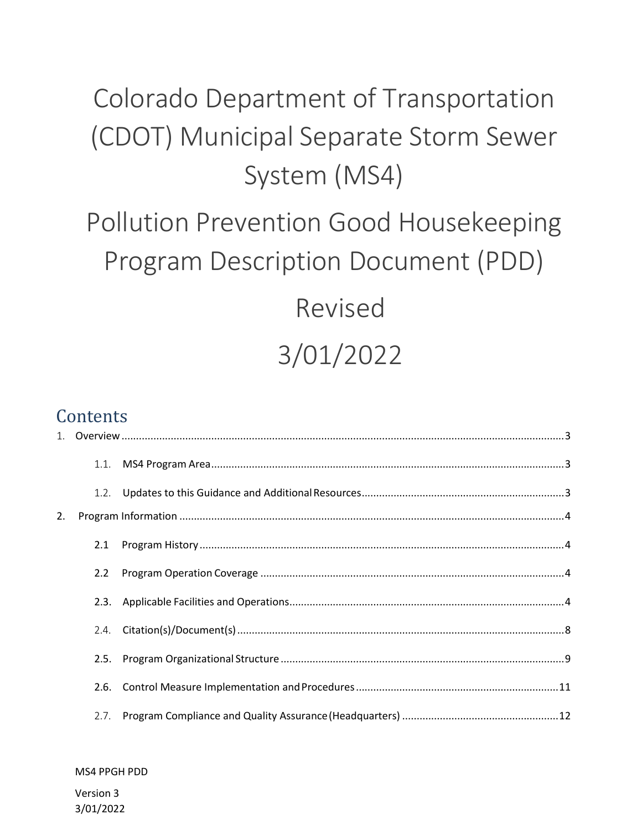## Colorado Department of Transportation (CDOT) Municipal Separate Storm Sewer System (MS4)

## Pollution Prevention Good Housekeeping Program Description Document (PDD)

# Revised 3/01/2022

## **Contents**

|    | 1.1. |  |
|----|------|--|
|    | 1.2. |  |
| 2. |      |  |
|    | 2.1  |  |
|    | 2.2  |  |
|    | 2.3. |  |
|    | 2.4. |  |
|    | 2.5. |  |
|    | 2.6. |  |
|    | 2.7. |  |

#### MS4 PPGH PDD

Version 3 3/01/2022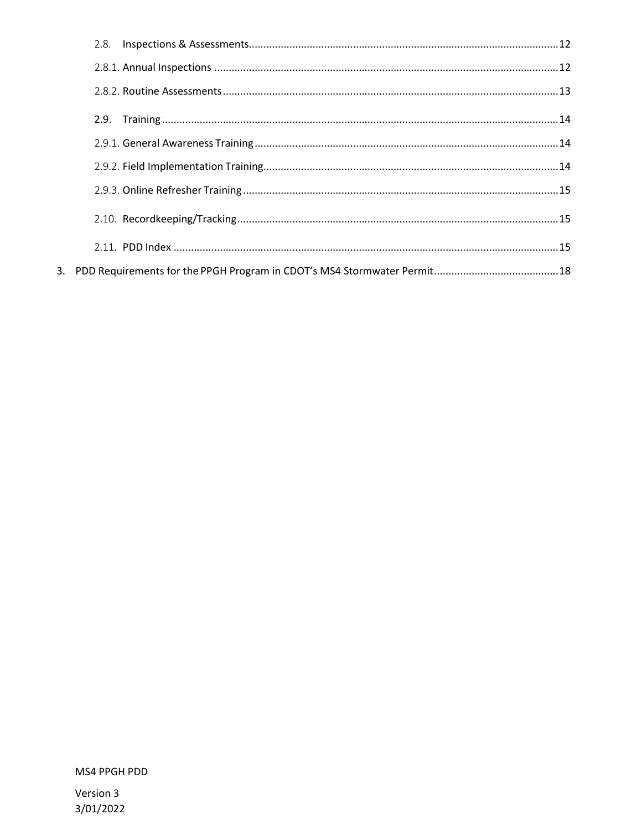| 2.8. |  |
|------|--|
|      |  |
|      |  |
|      |  |
|      |  |
|      |  |
|      |  |
|      |  |
|      |  |
|      |  |

MS4 PPGH PDD

Version 3 3/01/2022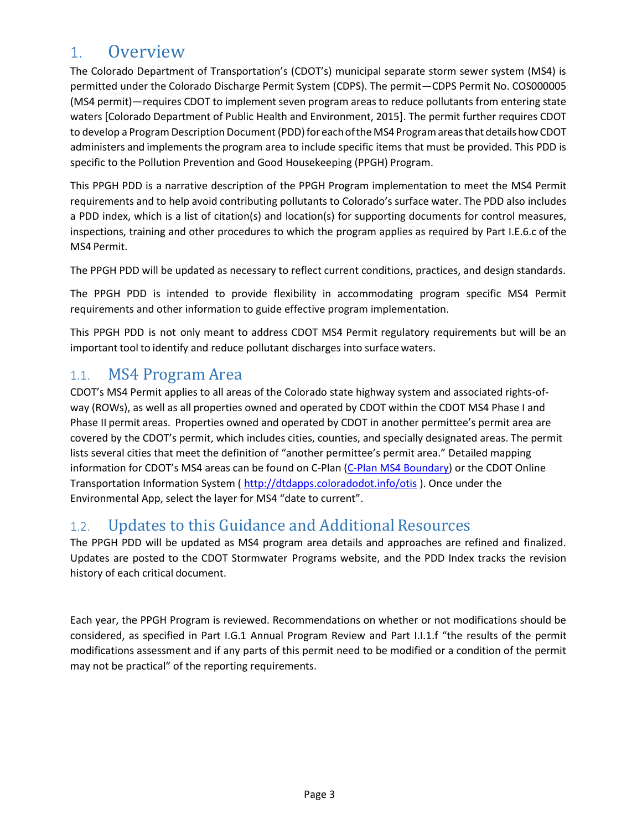## <span id="page-2-0"></span>1. Overview

The Colorado Department of Transportation's (CDOT's) municipal separate storm sewer system (MS4) is permitted under the Colorado Discharge Permit System (CDPS). The permit—CDPS Permit No. COS000005 (MS4 permit)—requires CDOT to implement seven program areas to reduce pollutants from entering state waters [Colorado Department of Public Health and Environment, 2015]. The permit further requires CDOT to develop a Program Description Document (PDD) for each of the MS4 Program areas that details how CDOT administers and implements the program area to include specific items that must be provided. This PDD is specific to the Pollution Prevention and Good Housekeeping (PPGH) Program.

This PPGH PDD is a narrative description of the PPGH Program implementation to meet the MS4 Permit requirements and to help avoid contributing pollutants to Colorado's surface water. The PDD also includes a PDD index, which is a list of citation(s) and location(s) for supporting documents for control measures, inspections, training and other procedures to which the program applies as required by Part I.E.6.c of the MS4 Permit.

The PPGH PDD will be updated as necessary to reflect current conditions, practices, and design standards.

The PPGH PDD is intended to provide flexibility in accommodating program specific MS4 Permit requirements and other information to guide effective program implementation.

This PPGH PDD is not only meant to address CDOT MS4 Permit regulatory requirements but will be an important tool to identify and reduce pollutant discharges into surface waters.

#### <span id="page-2-1"></span>1.1. MS4 Program Area

CDOT's MS4 Permit applies to all areas of the Colorado state highway system and associated rights-ofway (ROWs), as well as all properties owned and operated by CDOT within the CDOT MS4 Phase I and Phase II permit areas. Properties owned and operated by CDOT in another permittee's permit area are covered by the CDOT's permit, which includes cities, counties, and specially designated areas. The permit lists several cities that meet the definition of "another permittee's permit area." Detailed mapping information for CDOT's MS4 areas can be found on C-Plan [\(C-Plan MS4 Boundary\)](http://cdot.maps.arcgis.com/apps/webappviewer/index.html?id=129bef3793774ade81cfca5ec9baff7d) or the CDOT Online Transportation Information System [\( http://dtdapps.coloradodot.info/otis](http://dtdapps.coloradodot.info/otis) ). Once under the Environmental App, select the layer for MS4 "date to current".

#### <span id="page-2-2"></span>1.2. Updates to this Guidance and Additional Resources

The PPGH PDD will be updated as MS4 program area details and approaches are refined and finalized. Updates are posted to the CDOT Stormwater Programs website, and the PDD Index tracks the revision history of each critical document.

Each year, the PPGH Program is reviewed. Recommendations on whether or not modifications should be considered, as specified in Part I.G.1 Annual Program Review and Part I.I.1.f "the results of the permit modifications assessment and if any parts of this permit need to be modified or a condition of the permit may not be practical" of the reporting requirements.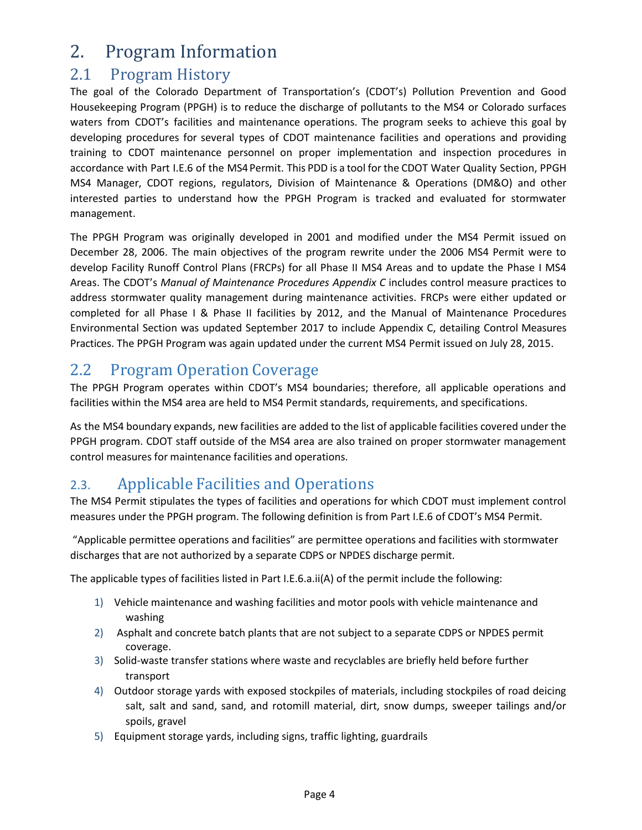## <span id="page-3-0"></span>2. Program Information

### <span id="page-3-1"></span>2.1 Program History

The goal of the Colorado Department of Transportation's (CDOT's) Pollution Prevention and Good Housekeeping Program (PPGH) is to reduce the discharge of pollutants to the MS4 or Colorado surfaces waters from CDOT's facilities and maintenance operations. The program seeks to achieve this goal by developing procedures for several types of CDOT maintenance facilities and operations and providing training to CDOT maintenance personnel on proper implementation and inspection procedures in accordance with Part I.E.6 of the MS4Permit. This PDD is a tool for the CDOT Water Quality Section, PPGH MS4 Manager, CDOT regions, regulators, Division of Maintenance & Operations (DM&O) and other interested parties to understand how the PPGH Program is tracked and evaluated for stormwater management.

The PPGH Program was originally developed in 2001 and modified under the MS4 Permit issued on December 28, 2006. The main objectives of the program rewrite under the 2006 MS4 Permit were to develop Facility Runoff Control Plans (FRCPs) for all Phase II MS4 Areas and to update the Phase I MS4 Areas. The CDOT's *Manual of Maintenance Procedures Appendix C* includes control measure practices to address stormwater quality management during maintenance activities. FRCPs were either updated or completed for all Phase I & Phase II facilities by 2012, and the Manual of Maintenance Procedures Environmental Section was updated September 2017 to include Appendix C, detailing Control Measures Practices. The PPGH Program was again updated under the current MS4 Permit issued on July 28, 2015.

## <span id="page-3-2"></span>2.2 Program Operation Coverage

The PPGH Program operates within CDOT's MS4 boundaries; therefore, all applicable operations and facilities within the MS4 area are held to MS4 Permit standards, requirements, and specifications.

As the MS4 boundary expands, new facilities are added to the list of applicable facilities covered under the PPGH program. CDOT staff outside of the MS4 area are also trained on proper stormwater management control measures for maintenance facilities and operations.

### <span id="page-3-3"></span>2.3. Applicable Facilities and Operations

The MS4 Permit stipulates the types of facilities and operations for which CDOT must implement control measures under the PPGH program. The following definition is from Part I.E.6 of CDOT's MS4 Permit.

"Applicable permittee operations and facilities" are permittee operations and facilities with stormwater discharges that are not authorized by a separate CDPS or NPDES discharge permit.

The applicable types of facilities listed in Part I.E.6.a.ii(A) of the permit include the following:

- 1) Vehicle maintenance and washing facilities and motor pools with vehicle maintenance and washing
- 2) Asphalt and concrete batch plants that are not subject to a separate CDPS or NPDES permit coverage.
- 3) Solid-waste transfer stations where waste and recyclables are briefly held before further transport
- 4) Outdoor storage yards with exposed stockpiles of materials, including stockpiles of road deicing salt, salt and sand, sand, and rotomill material, dirt, snow dumps, sweeper tailings and/or spoils, gravel
- 5) Equipment storage yards, including signs, traffic lighting, guardrails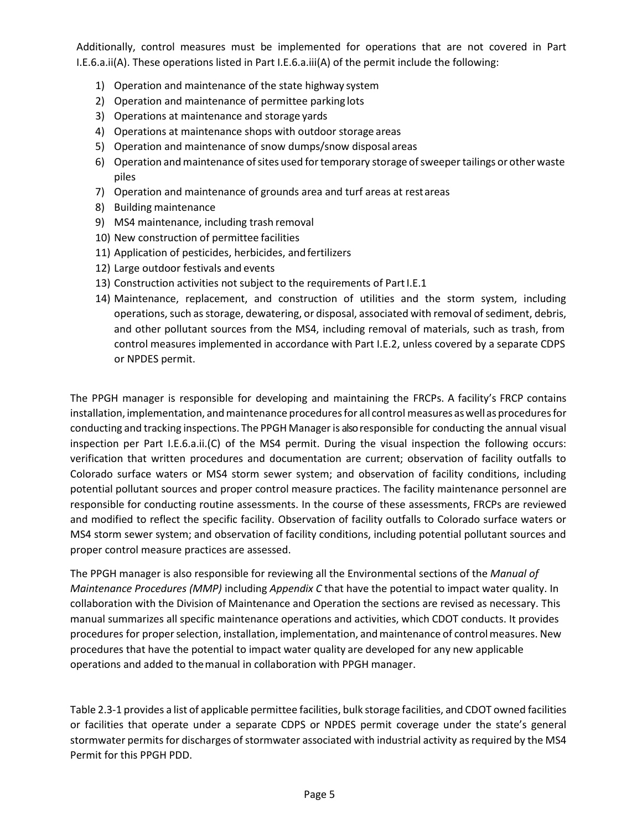Additionally, control measures must be implemented for operations that are not covered in Part I.E.6.a.ii(A). These operations listed in Part I.E.6.a.iii(A) of the permit include the following:

- 1) Operation and maintenance of the state highway system
- 2) Operation and maintenance of permittee parking lots
- 3) Operations at maintenance and storage yards
- 4) Operations at maintenance shops with outdoor storage areas
- 5) Operation and maintenance of snow dumps/snow disposal areas
- 6) Operation andmaintenance ofsites used fortemporary storage ofsweepertailings or otherwaste piles
- 7) Operation and maintenance of grounds area and turf areas at restareas
- 8) Building maintenance
- 9) MS4 maintenance, including trash removal
- 10) New construction of permittee facilities
- 11) Application of pesticides, herbicides, and fertilizers
- 12) Large outdoor festivals and events
- 13) Construction activities not subject to the requirements of Part I.E.1
- 14) Maintenance, replacement, and construction of utilities and the storm system, including operations, such as storage, dewatering, or disposal, associated with removal of sediment, debris, and other pollutant sources from the MS4, including removal of materials, such as trash, from control measures implemented in accordance with Part I.E.2, unless covered by a separate CDPS or NPDES permit.

The PPGH manager is responsible for developing and maintaining the FRCPs. A facility's FRCP contains installation, implementation, and maintenance procedures for all control measures as well as procedures for conducting and tracking inspections. The PPGH Manageris also responsible for conducting the annual visual inspection per Part I.E.6.a.ii.(C) of the MS4 permit. During the visual inspection the following occurs: verification that written procedures and documentation are current; observation of facility outfalls to Colorado surface waters or MS4 storm sewer system; and observation of facility conditions, including potential pollutant sources and proper control measure practices. The facility maintenance personnel are responsible for conducting routine assessments. In the course of these assessments, FRCPs are reviewed and modified to reflect the specific facility. Observation of facility outfalls to Colorado surface waters or MS4 storm sewer system; and observation of facility conditions, including potential pollutant sources and proper control measure practices are assessed.

The PPGH manager is also responsible for reviewing all the Environmental sections of the *Manual of Maintenance Procedures (MMP)* including *Appendix C* that have the potential to impact water quality. In collaboration with the Division of Maintenance and Operation the sections are revised as necessary. This manual summarizes all specific maintenance operations and activities, which CDOT conducts. It provides procedures for properselection, installation, implementation, andmaintenance of controlmeasures. New procedures that have the potential to impact water quality are developed for any new applicable operations and added to themanual in collaboration with PPGH manager.

Table 2.3-1 provides a list of applicable permittee facilities, bulk storage facilities, and CDOT owned facilities or facilities that operate under a separate CDPS or NPDES permit coverage under the state's general stormwater permits for discharges of stormwater associated with industrial activity as required by the MS4 Permit for this PPGH PDD.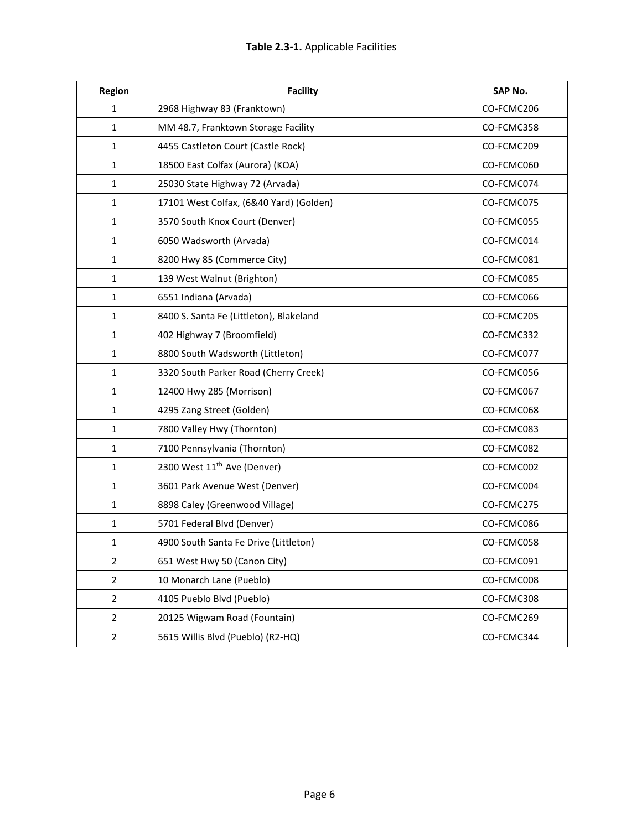| Region         | <b>Facility</b>                         | SAP No.    |  |  |  |
|----------------|-----------------------------------------|------------|--|--|--|
| $\mathbf{1}$   | 2968 Highway 83 (Franktown)             | CO-FCMC206 |  |  |  |
| $\mathbf{1}$   | MM 48.7, Franktown Storage Facility     | CO-FCMC358 |  |  |  |
| $\mathbf{1}$   | 4455 Castleton Court (Castle Rock)      | CO-FCMC209 |  |  |  |
| $\mathbf{1}$   | 18500 East Colfax (Aurora) (KOA)        |            |  |  |  |
| $\mathbf{1}$   | 25030 State Highway 72 (Arvada)         | CO-FCMC074 |  |  |  |
| $\mathbf{1}$   | 17101 West Colfax, (6&40 Yard) (Golden) | CO-FCMC075 |  |  |  |
| $\mathbf{1}$   | 3570 South Knox Court (Denver)          | CO-FCMC055 |  |  |  |
| $\mathbf{1}$   | 6050 Wadsworth (Arvada)                 | CO-FCMC014 |  |  |  |
| $\mathbf{1}$   | 8200 Hwy 85 (Commerce City)             | CO-FCMC081 |  |  |  |
| $\mathbf{1}$   | 139 West Walnut (Brighton)              | CO-FCMC085 |  |  |  |
| $\mathbf{1}$   | 6551 Indiana (Arvada)                   | CO-FCMC066 |  |  |  |
| $\mathbf{1}$   | 8400 S. Santa Fe (Littleton), Blakeland | CO-FCMC205 |  |  |  |
| $\mathbf{1}$   | 402 Highway 7 (Broomfield)              | CO-FCMC332 |  |  |  |
| $\mathbf{1}$   | 8800 South Wadsworth (Littleton)        | CO-FCMC077 |  |  |  |
| $\mathbf{1}$   | 3320 South Parker Road (Cherry Creek)   | CO-FCMC056 |  |  |  |
| $\mathbf{1}$   | 12400 Hwy 285 (Morrison)                | CO-FCMC067 |  |  |  |
| $\mathbf{1}$   | 4295 Zang Street (Golden)               | CO-FCMC068 |  |  |  |
| $\mathbf{1}$   | 7800 Valley Hwy (Thornton)              | CO-FCMC083 |  |  |  |
| $\mathbf{1}$   | 7100 Pennsylvania (Thornton)            | CO-FCMC082 |  |  |  |
| $\mathbf{1}$   | 2300 West 11 <sup>th</sup> Ave (Denver) | CO-FCMC002 |  |  |  |
| $\mathbf{1}$   | 3601 Park Avenue West (Denver)          | CO-FCMC004 |  |  |  |
| $\mathbf{1}$   | 8898 Caley (Greenwood Village)          | CO-FCMC275 |  |  |  |
| $\mathbf{1}$   | 5701 Federal Blvd (Denver)              | CO-FCMC086 |  |  |  |
| $\mathbf{1}$   | 4900 South Santa Fe Drive (Littleton)   | CO-FCMC058 |  |  |  |
| $\overline{2}$ | 651 West Hwy 50 (Canon City)            | CO-FCMC091 |  |  |  |
| $\overline{2}$ | 10 Monarch Lane (Pueblo)                | CO-FCMC008 |  |  |  |
| $\overline{2}$ | 4105 Pueblo Blvd (Pueblo)               | CO-FCMC308 |  |  |  |
| $\overline{2}$ | 20125 Wigwam Road (Fountain)            | CO-FCMC269 |  |  |  |
| $\overline{2}$ | 5615 Willis Blvd (Pueblo) (R2-HQ)       | CO-FCMC344 |  |  |  |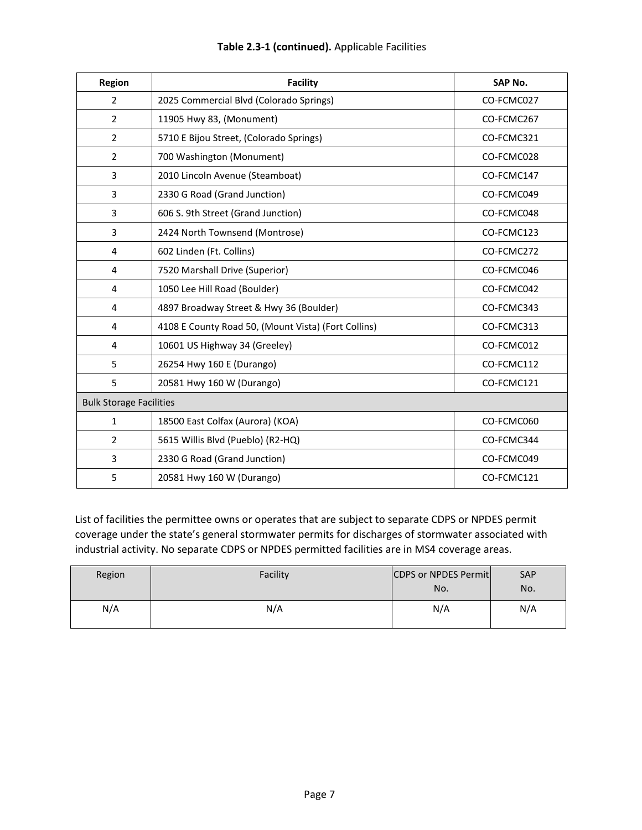| Region                         | <b>Facility</b>                                     | <b>SAP No.</b> |  |  |  |
|--------------------------------|-----------------------------------------------------|----------------|--|--|--|
| 2                              | 2025 Commercial Blvd (Colorado Springs)             | CO-FCMC027     |  |  |  |
| $\overline{2}$                 | 11905 Hwy 83, (Monument)                            |                |  |  |  |
| 2                              | 5710 E Bijou Street, (Colorado Springs)             | CO-FCMC321     |  |  |  |
| 2                              | 700 Washington (Monument)                           | CO-FCMC028     |  |  |  |
| 3                              | 2010 Lincoln Avenue (Steamboat)                     | CO-FCMC147     |  |  |  |
| 3                              | 2330 G Road (Grand Junction)                        | CO-FCMC049     |  |  |  |
| 3                              | 606 S. 9th Street (Grand Junction)                  | CO-FCMC048     |  |  |  |
| 3                              | 2424 North Townsend (Montrose)                      | CO-FCMC123     |  |  |  |
| 4                              | 602 Linden (Ft. Collins)                            | CO-FCMC272     |  |  |  |
| 4                              | 7520 Marshall Drive (Superior)                      | CO-FCMC046     |  |  |  |
| 4                              | 1050 Lee Hill Road (Boulder)                        | CO-FCMC042     |  |  |  |
| 4                              | 4897 Broadway Street & Hwy 36 (Boulder)             | CO-FCMC343     |  |  |  |
| $\overline{4}$                 | 4108 E County Road 50, (Mount Vista) (Fort Collins) | CO-FCMC313     |  |  |  |
| 4                              | 10601 US Highway 34 (Greeley)                       | CO-FCMC012     |  |  |  |
| 5                              | 26254 Hwy 160 E (Durango)                           | CO-FCMC112     |  |  |  |
| 5                              | 20581 Hwy 160 W (Durango)                           | CO-FCMC121     |  |  |  |
| <b>Bulk Storage Facilities</b> |                                                     |                |  |  |  |
| 1                              | 18500 East Colfax (Aurora) (KOA)                    | CO-FCMC060     |  |  |  |
| $\overline{2}$                 | 5615 Willis Blvd (Pueblo) (R2-HQ)                   | CO-FCMC344     |  |  |  |
| 3                              | 2330 G Road (Grand Junction)                        | CO-FCMC049     |  |  |  |
| 5                              | 20581 Hwy 160 W (Durango)                           | CO-FCMC121     |  |  |  |

List of facilities the permittee owns or operates that are subject to separate CDPS or NPDES permit coverage under the state's general stormwater permits for discharges of stormwater associated with industrial activity. No separate CDPS or NPDES permitted facilities are in MS4 coverage areas.

| Region | Facility | CDPS or NPDES Permit<br>No. | <b>SAP</b><br>No. |
|--------|----------|-----------------------------|-------------------|
| N/A    | N/A      | N/A                         | N/A               |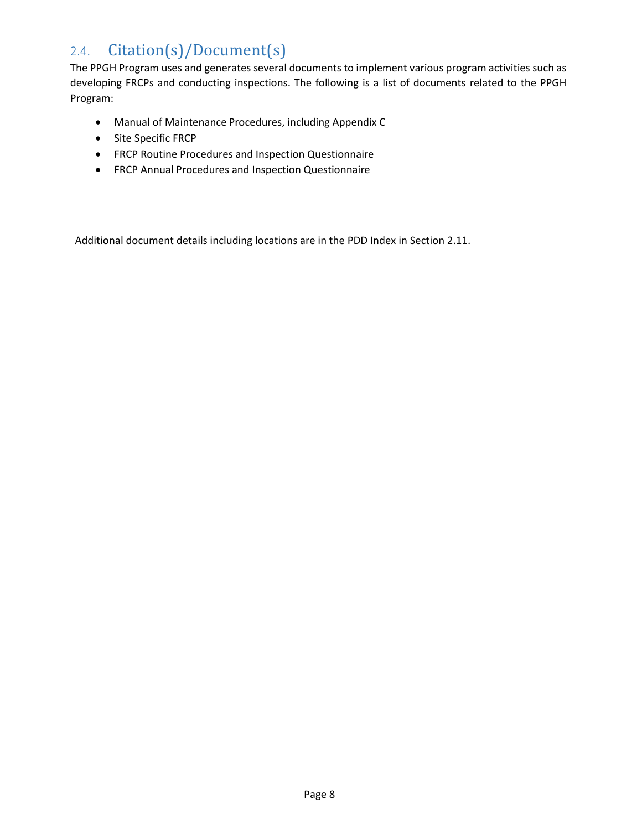## <span id="page-7-0"></span>2.4. Citation(s)/Document(s)

The PPGH Program uses and generates several documents to implement various program activities such as developing FRCPs and conducting inspections. The following is a list of documents related to the PPGH Program:

- Manual of Maintenance Procedures, including Appendix C
- Site Specific FRCP
- FRCP Routine Procedures and Inspection Questionnaire
- FRCP Annual Procedures and Inspection Questionnaire

Additional document details including locations are in the PDD Index in Section 2.11.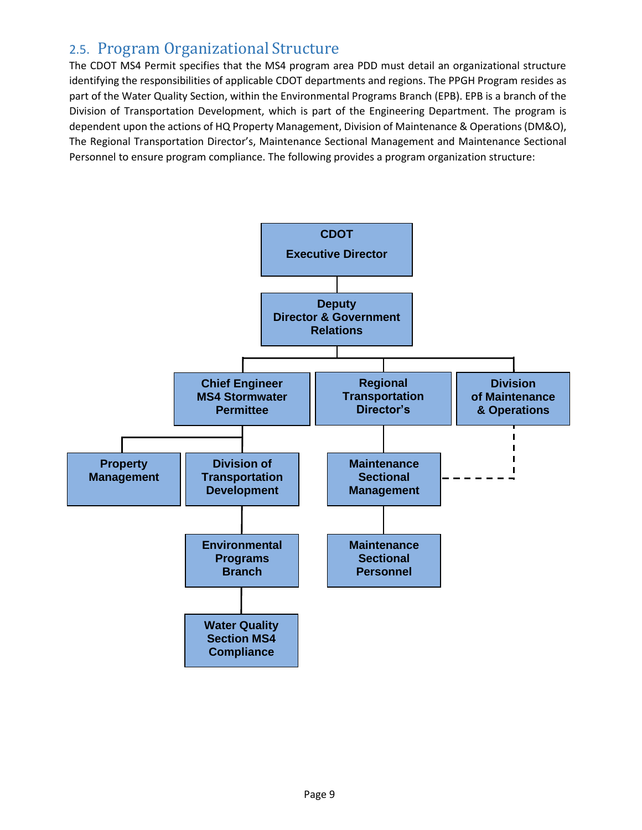#### <span id="page-8-0"></span>2.5. Program Organizational Structure

The CDOT MS4 Permit specifies that the MS4 program area PDD must detail an organizational structure identifying the responsibilities of applicable CDOT departments and regions. The PPGH Program resides as part of the Water Quality Section, within the Environmental Programs Branch (EPB). EPB is a branch of the Division of Transportation Development, which is part of the Engineering Department. The program is dependent upon the actions of HQ Property Management, Division of Maintenance & Operations (DM&O), The Regional Transportation Director's, Maintenance Sectional Management and Maintenance Sectional Personnel to ensure program compliance. The following provides a program organization structure:

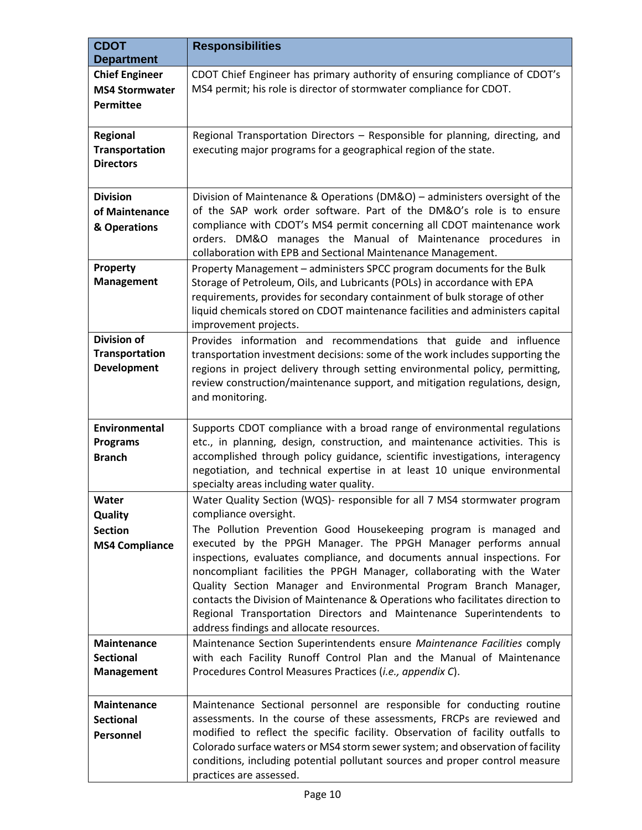| <b>CDOT</b><br><b>Department</b>                                   | <b>Responsibilities</b>                                                                                                                                                                                                                                                                                                                                                                                                                                                                                                                                                                                                                                                    |  |  |  |
|--------------------------------------------------------------------|----------------------------------------------------------------------------------------------------------------------------------------------------------------------------------------------------------------------------------------------------------------------------------------------------------------------------------------------------------------------------------------------------------------------------------------------------------------------------------------------------------------------------------------------------------------------------------------------------------------------------------------------------------------------------|--|--|--|
| <b>Chief Engineer</b><br><b>MS4 Stormwater</b><br><b>Permittee</b> | CDOT Chief Engineer has primary authority of ensuring compliance of CDOT's<br>MS4 permit; his role is director of stormwater compliance for CDOT.                                                                                                                                                                                                                                                                                                                                                                                                                                                                                                                          |  |  |  |
| <b>Regional</b><br><b>Transportation</b><br><b>Directors</b>       | Regional Transportation Directors - Responsible for planning, directing, and<br>executing major programs for a geographical region of the state.                                                                                                                                                                                                                                                                                                                                                                                                                                                                                                                           |  |  |  |
| <b>Division</b><br>of Maintenance<br>& Operations                  | Division of Maintenance & Operations (DM&O) - administers oversight of the<br>of the SAP work order software. Part of the DM&O's role is to ensure<br>compliance with CDOT's MS4 permit concerning all CDOT maintenance work<br>orders. DM&O manages the Manual of Maintenance procedures in<br>collaboration with EPB and Sectional Maintenance Management.                                                                                                                                                                                                                                                                                                               |  |  |  |
| Property<br><b>Management</b>                                      | Property Management - administers SPCC program documents for the Bulk<br>Storage of Petroleum, Oils, and Lubricants (POLs) in accordance with EPA<br>requirements, provides for secondary containment of bulk storage of other<br>liquid chemicals stored on CDOT maintenance facilities and administers capital<br>improvement projects.                                                                                                                                                                                                                                                                                                                                  |  |  |  |
| <b>Division of</b><br><b>Transportation</b><br><b>Development</b>  | Provides information and recommendations that guide and influence<br>transportation investment decisions: some of the work includes supporting the<br>regions in project delivery through setting environmental policy, permitting,<br>review construction/maintenance support, and mitigation regulations, design,<br>and monitoring.                                                                                                                                                                                                                                                                                                                                     |  |  |  |
| Environmental<br><b>Programs</b><br><b>Branch</b>                  | Supports CDOT compliance with a broad range of environmental regulations<br>etc., in planning, design, construction, and maintenance activities. This is<br>accomplished through policy guidance, scientific investigations, interagency<br>negotiation, and technical expertise in at least 10 unique environmental<br>specialty areas including water quality.                                                                                                                                                                                                                                                                                                           |  |  |  |
| Water<br><b>Quality</b><br><b>Section</b><br><b>MS4 Compliance</b> | Water Quality Section (WQS)- responsible for all 7 MS4 stormwater program<br>compliance oversight.<br>The Pollution Prevention Good Housekeeping program is managed and<br>executed by the PPGH Manager. The PPGH Manager performs annual<br>inspections, evaluates compliance, and documents annual inspections. For<br>noncompliant facilities the PPGH Manager, collaborating with the Water<br>Quality Section Manager and Environmental Program Branch Manager,<br>contacts the Division of Maintenance & Operations who facilitates direction to<br>Regional Transportation Directors and Maintenance Superintendents to<br>address findings and allocate resources. |  |  |  |
| <b>Maintenance</b><br><b>Sectional</b><br><b>Management</b>        | Maintenance Section Superintendents ensure Maintenance Facilities comply<br>with each Facility Runoff Control Plan and the Manual of Maintenance<br>Procedures Control Measures Practices (i.e., appendix C).                                                                                                                                                                                                                                                                                                                                                                                                                                                              |  |  |  |
| <b>Maintenance</b><br><b>Sectional</b><br>Personnel                | Maintenance Sectional personnel are responsible for conducting routine<br>assessments. In the course of these assessments, FRCPs are reviewed and<br>modified to reflect the specific facility. Observation of facility outfalls to<br>Colorado surface waters or MS4 storm sewer system; and observation of facility<br>conditions, including potential pollutant sources and proper control measure<br>practices are assessed.                                                                                                                                                                                                                                           |  |  |  |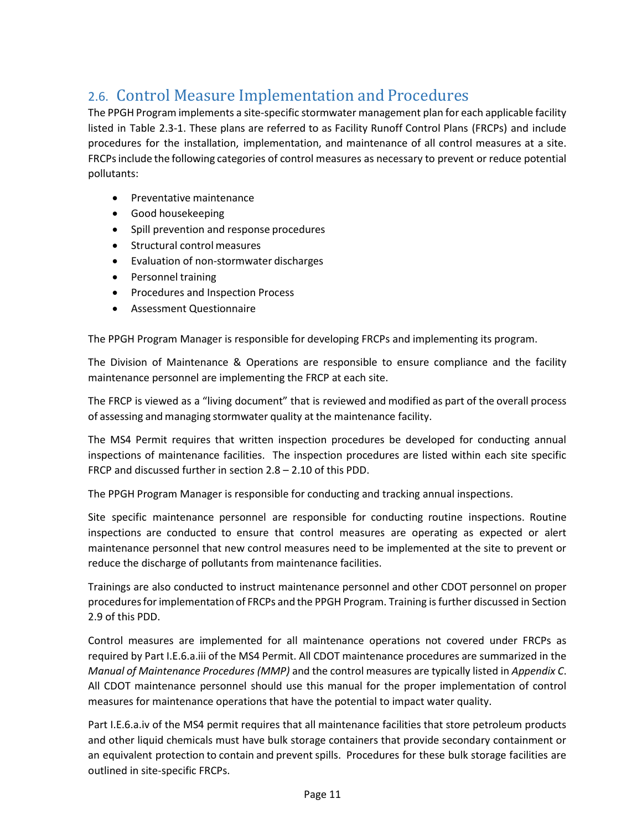## <span id="page-10-0"></span>2.6. Control Measure Implementation and Procedures

The PPGH Program implements a site-specific stormwater management plan for each applicable facility listed in Table 2.3-1. These plans are referred to as Facility Runoff Control Plans (FRCPs) and include procedures for the installation, implementation, and maintenance of all control measures at a site. FRCPsinclude the following categories of control measures as necessary to prevent or reduce potential pollutants:

- Preventative maintenance
- Good housekeeping
- Spill prevention and response procedures
- Structural control measures
- Evaluation of non-stormwater discharges
- Personnel training
- Procedures and Inspection Process
- Assessment Questionnaire

The PPGH Program Manager is responsible for developing FRCPs and implementing its program.

The Division of Maintenance & Operations are responsible to ensure compliance and the facility maintenance personnel are implementing the FRCP at each site.

The FRCP is viewed as a "living document" that is reviewed and modified as part of the overall process of assessing and managing stormwater quality at the maintenance facility.

The MS4 Permit requires that written inspection procedures be developed for conducting annual inspections of maintenance facilities. The inspection procedures are listed within each site specific FRCP and discussed further in section 2.8 – 2.10 of this PDD.

The PPGH Program Manager is responsible for conducting and tracking annual inspections.

Site specific maintenance personnel are responsible for conducting routine inspections. Routine inspections are conducted to ensure that control measures are operating as expected or alert maintenance personnel that new control measures need to be implemented at the site to prevent or reduce the discharge of pollutants from maintenance facilities.

Trainings are also conducted to instruct maintenance personnel and other CDOT personnel on proper proceduresforimplementation of FRCPs and the PPGH Program. Training is further discussed in Section 2.9 of this PDD.

Control measures are implemented for all maintenance operations not covered under FRCPs as required by Part I.E.6.a.iii of the MS4 Permit. All CDOT maintenance procedures are summarized in the *Manual of Maintenance Procedures (MMP)* and the control measures are typically listed in *Appendix C*. All CDOT maintenance personnel should use this manual for the proper implementation of control measures for maintenance operations that have the potential to impact water quality.

Part I.E.6.a.iv of the MS4 permit requires that all maintenance facilities that store petroleum products and other liquid chemicals must have bulk storage containers that provide secondary containment or an equivalent protection to contain and prevent spills. Procedures for these bulk storage facilities are outlined in site-specific FRCPs.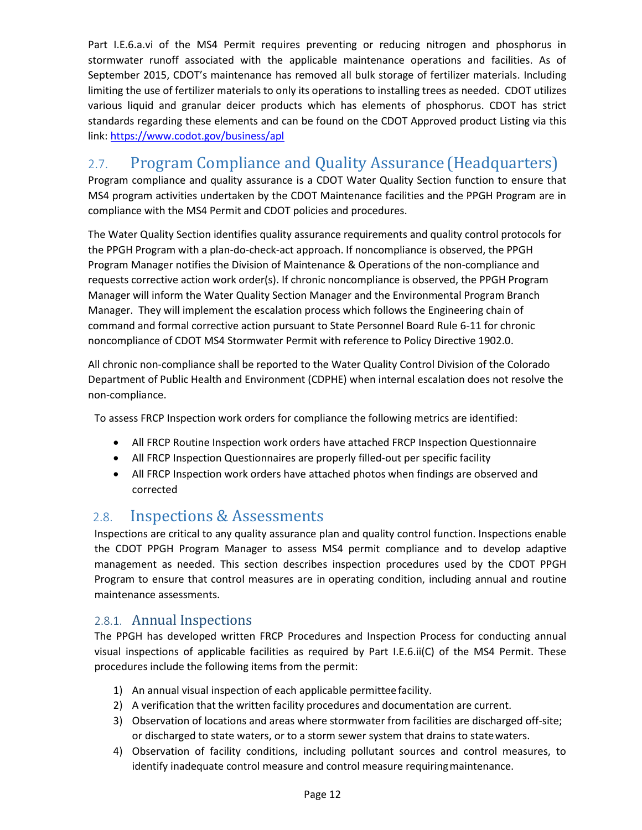Part I.E.6.a.vi of the MS4 Permit requires preventing or reducing nitrogen and phosphorus in stormwater runoff associated with the applicable maintenance operations and facilities. As of September 2015, CDOT's maintenance has removed all bulk storage of fertilizer materials. Including limiting the use of fertilizer materials to only its operations to installing trees as needed. CDOT utilizes various liquid and granular deicer products which has elements of phosphorus. CDOT has strict standards regarding these elements and can be found on the CDOT Approved product Listing via this link:<https://www.codot.gov/business/apl>

### <span id="page-11-0"></span>2.7. Program Compliance and Quality Assurance (Headquarters)

Program compliance and quality assurance is a CDOT Water Quality Section function to ensure that MS4 program activities undertaken by the CDOT Maintenance facilities and the PPGH Program are in compliance with the MS4 Permit and CDOT policies and procedures.

The Water Quality Section identifies quality assurance requirements and quality control protocols for the PPGH Program with a plan-do-check-act approach. If noncompliance is observed, the PPGH Program Manager notifies the Division of Maintenance & Operations of the non-compliance and requests corrective action work order(s). If chronic noncompliance is observed, the PPGH Program Manager will inform the Water Quality Section Manager and the Environmental Program Branch Manager. They will implement the escalation process which follows the Engineering chain of command and formal corrective action pursuant to State Personnel Board Rule 6-11 for chronic noncompliance of CDOT MS4 Stormwater Permit with reference to Policy Directive 1902.0.

All chronic non-compliance shall be reported to the Water Quality Control Division of the Colorado Department of Public Health and Environment (CDPHE) when internal escalation does not resolve the non-compliance.

To assess FRCP Inspection work orders for compliance the following metrics are identified:

- All FRCP Routine Inspection work orders have attached FRCP Inspection Questionnaire
- All FRCP Inspection Questionnaires are properly filled-out per specific facility
- All FRCP Inspection work orders have attached photos when findings are observed and corrected

#### <span id="page-11-1"></span>2.8. Inspections & Assessments

Inspections are critical to any quality assurance plan and quality control function. Inspections enable the CDOT PPGH Program Manager to assess MS4 permit compliance and to develop adaptive management as needed. This section describes inspection procedures used by the CDOT PPGH Program to ensure that control measures are in operating condition, including annual and routine maintenance assessments.

#### <span id="page-11-2"></span>2.8.1. Annual Inspections

The PPGH has developed written FRCP Procedures and Inspection Process for conducting annual visual inspections of applicable facilities as required by Part I.E.6.ii(C) of the MS4 Permit. These procedures include the following items from the permit:

- 1) An annual visual inspection of each applicable permittee facility.
- 2) A verification that the written facility procedures and documentation are current.
- 3) Observation of locations and areas where stormwater from facilities are discharged off-site; or discharged to state waters, or to a storm sewer system that drains to statewaters.
- 4) Observation of facility conditions, including pollutant sources and control measures, to identify inadequate control measure and control measure requiringmaintenance.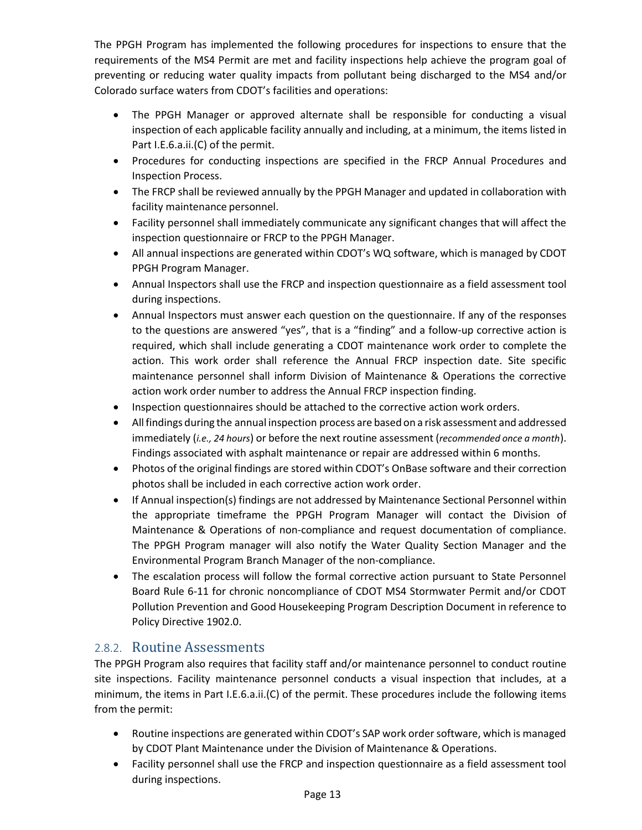The PPGH Program has implemented the following procedures for inspections to ensure that the requirements of the MS4 Permit are met and facility inspections help achieve the program goal of preventing or reducing water quality impacts from pollutant being discharged to the MS4 and/or Colorado surface waters from CDOT's facilities and operations:

- The PPGH Manager or approved alternate shall be responsible for conducting a visual inspection of each applicable facility annually and including, at a minimum, the items listed in Part I.E.6.a.ii.(C) of the permit.
- Procedures for conducting inspections are specified in the FRCP Annual Procedures and Inspection Process.
- The FRCP shall be reviewed annually by the PPGH Manager and updated in collaboration with facility maintenance personnel.
- Facility personnel shall immediately communicate any significant changes that will affect the inspection questionnaire or FRCP to the PPGH Manager.
- All annual inspections are generated within CDOT's WQ software, which is managed by CDOT PPGH Program Manager.
- Annual Inspectors shall use the FRCP and inspection questionnaire as a field assessment tool during inspections.
- Annual Inspectors must answer each question on the questionnaire. If any of the responses to the questions are answered "yes", that is a "finding" and a follow-up corrective action is required, which shall include generating a CDOT maintenance work order to complete the action. This work order shall reference the Annual FRCP inspection date. Site specific maintenance personnel shall inform Division of Maintenance & Operations the corrective action work order number to address the Annual FRCP inspection finding.
- Inspection questionnaires should be attached to the corrective action work orders.
- Allfindings during the annual inspection process are based on a risk assessment and addressed immediately (*i.e., 24 hours*) or before the next routine assessment (*recommended once a month*). Findings associated with asphalt maintenance or repair are addressed within 6 months.
- Photos of the original findings are stored within CDOT's OnBase software and their correction photos shall be included in each corrective action work order.
- If Annual inspection(s) findings are not addressed by Maintenance Sectional Personnel within the appropriate timeframe the PPGH Program Manager will contact the Division of Maintenance & Operations of non-compliance and request documentation of compliance. The PPGH Program manager will also notify the Water Quality Section Manager and the Environmental Program Branch Manager of the non-compliance.
- The escalation process will follow the formal corrective action pursuant to State Personnel Board Rule 6-11 for chronic noncompliance of CDOT MS4 Stormwater Permit and/or CDOT Pollution Prevention and Good Housekeeping Program Description Document in reference to Policy Directive 1902.0.

#### <span id="page-12-0"></span>2.8.2. Routine Assessments

The PPGH Program also requires that facility staff and/or maintenance personnel to conduct routine site inspections. Facility maintenance personnel conducts a visual inspection that includes, at a minimum, the items in Part I.E.6.a.ii.(C) of the permit. These procedures include the following items from the permit:

- Routine inspections are generated within CDOT's SAP work order software, which is managed by CDOT Plant Maintenance under the Division of Maintenance & Operations.
- Facility personnel shall use the FRCP and inspection questionnaire as a field assessment tool during inspections.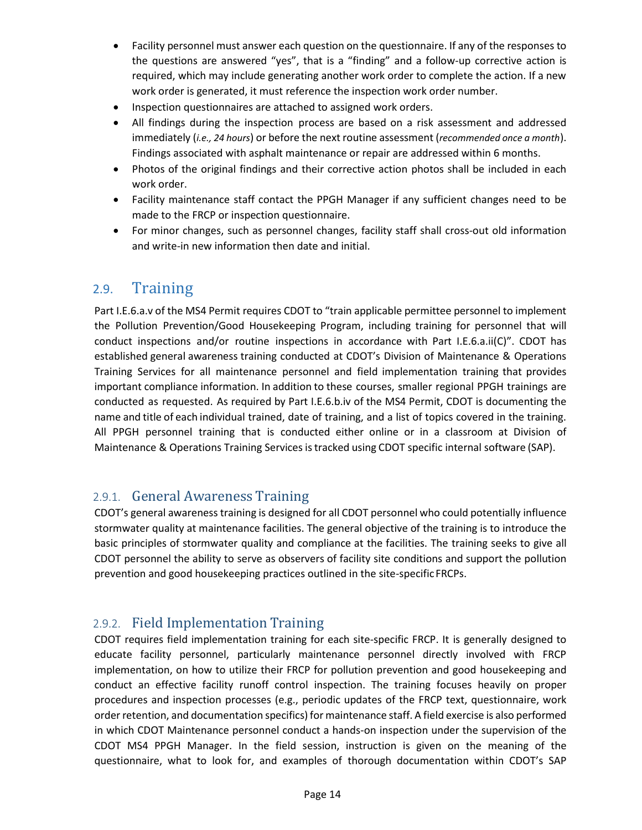- Facility personnel must answer each question on the questionnaire. If any of the responses to the questions are answered "yes", that is a "finding" and a follow-up corrective action is required, which may include generating another work order to complete the action. If a new work order is generated, it must reference the inspection work order number.
- Inspection questionnaires are attached to assigned work orders.
- All findings during the inspection process are based on a risk assessment and addressed immediately (*i.e., 24 hours*) or before the next routine assessment (*recommended once a month*). Findings associated with asphalt maintenance or repair are addressed within 6 months.
- Photos of the original findings and their corrective action photos shall be included in each work order.
- Facility maintenance staff contact the PPGH Manager if any sufficient changes need to be made to the FRCP or inspection questionnaire.
- For minor changes, such as personnel changes, facility staff shall cross-out old information and write-in new information then date and initial.

#### <span id="page-13-0"></span>2.9. Training

Part I.E.6.a.v of the MS4 Permit requires CDOT to "train applicable permittee personnel to implement the Pollution Prevention/Good Housekeeping Program, including training for personnel that will conduct inspections and/or routine inspections in accordance with Part I.E.6.a.ii(C)". CDOT has established general awareness training conducted at CDOT's Division of Maintenance & Operations Training Services for all maintenance personnel and field implementation training that provides important compliance information. In addition to these courses, smaller regional PPGH trainings are conducted as requested. As required by Part I.E.6.b.iv of the MS4 Permit, CDOT is documenting the name and title of each individual trained, date of training, and a list of topics covered in the training. All PPGH personnel training that is conducted either online or in a classroom at Division of Maintenance & Operations Training Services istracked using CDOT specific internal software (SAP).

#### <span id="page-13-1"></span>2.9.1. General Awareness Training

CDOT's general awarenesstraining is designed for all CDOT personnel who could potentially influence stormwater quality at maintenance facilities. The general objective of the training is to introduce the basic principles of stormwater quality and compliance at the facilities. The training seeks to give all CDOT personnel the ability to serve as observers of facility site conditions and support the pollution prevention and good housekeeping practices outlined in the site-specific FRCPs.

#### <span id="page-13-2"></span>2.9.2. Field Implementation Training

CDOT requires field implementation training for each site-specific FRCP. It is generally designed to educate facility personnel, particularly maintenance personnel directly involved with FRCP implementation, on how to utilize their FRCP for pollution prevention and good housekeeping and conduct an effective facility runoff control inspection. The training focuses heavily on proper procedures and inspection processes (e.g., periodic updates of the FRCP text, questionnaire, work order retention, and documentation specifics) for maintenance staff. A field exercise is also performed in which CDOT Maintenance personnel conduct a hands-on inspection under the supervision of the CDOT MS4 PPGH Manager. In the field session, instruction is given on the meaning of the questionnaire, what to look for, and examples of thorough documentation within CDOT's SAP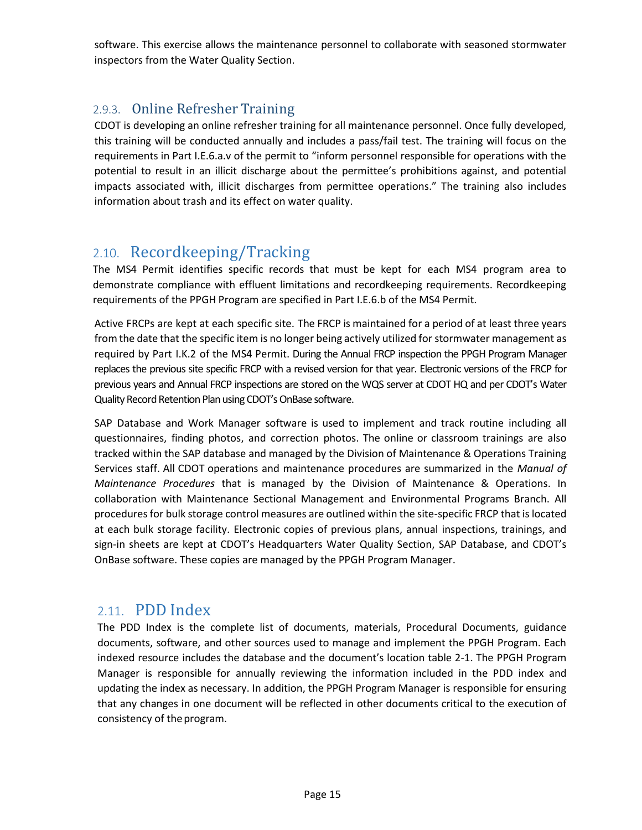software. This exercise allows the maintenance personnel to collaborate with seasoned stormwater inspectors from the Water Quality Section.

#### <span id="page-14-0"></span>2.9.3. Online Refresher Training

CDOT is developing an online refresher training for all maintenance personnel. Once fully developed, this training will be conducted annually and includes a pass/fail test. The training will focus on the requirements in Part I.E.6.a.v of the permit to "inform personnel responsible for operations with the potential to result in an illicit discharge about the permittee's prohibitions against, and potential impacts associated with, illicit discharges from permittee operations." The training also includes information about trash and its effect on water quality.

#### <span id="page-14-1"></span>2.10. Recordkeeping/Tracking

The MS4 Permit identifies specific records that must be kept for each MS4 program area to demonstrate compliance with effluent limitations and recordkeeping requirements. Recordkeeping requirements of the PPGH Program are specified in Part I.E.6.b of the MS4 Permit.

Active FRCPs are kept at each specific site. The FRCP is maintained for a period of at least three years from the date that the specific item is no longer being actively utilized for stormwater management as required by Part I.K.2 of the MS4 Permit. During the Annual FRCP inspection the PPGH Program Manager replaces the previous site specific FRCP with a revised version for that year. Electronic versions of the FRCP for previous years and Annual FRCP inspections are stored on the WQS server at CDOT HQ and per CDOT's Water Quality Record Retention Plan using CDOT's OnBase software.

SAP Database and Work Manager software is used to implement and track routine including all questionnaires, finding photos, and correction photos. The online or classroom trainings are also tracked within the SAP database and managed by the Division of Maintenance & Operations Training Services staff. All CDOT operations and maintenance procedures are summarized in the *Manual of Maintenance Procedures* that is managed by the Division of Maintenance & Operations. In collaboration with Maintenance Sectional Management and Environmental Programs Branch. All procedures for bulk storage control measures are outlined within the site-specific FRCP that is located at each bulk storage facility. Electronic copies of previous plans, annual inspections, trainings, and sign-in sheets are kept at CDOT's Headquarters Water Quality Section, SAP Database, and CDOT's OnBase software. These copies are managed by the PPGH Program Manager.

#### <span id="page-14-2"></span>2.11. PDD Index

The PDD Index is the complete list of documents, materials, Procedural Documents, guidance documents, software, and other sources used to manage and implement the PPGH Program. Each indexed resource includes the database and the document's location table 2-1. The PPGH Program Manager is responsible for annually reviewing the information included in the PDD index and updating the index as necessary. In addition, the PPGH Program Manager is responsible for ensuring that any changes in one document will be reflected in other documents critical to the execution of consistency of theprogram.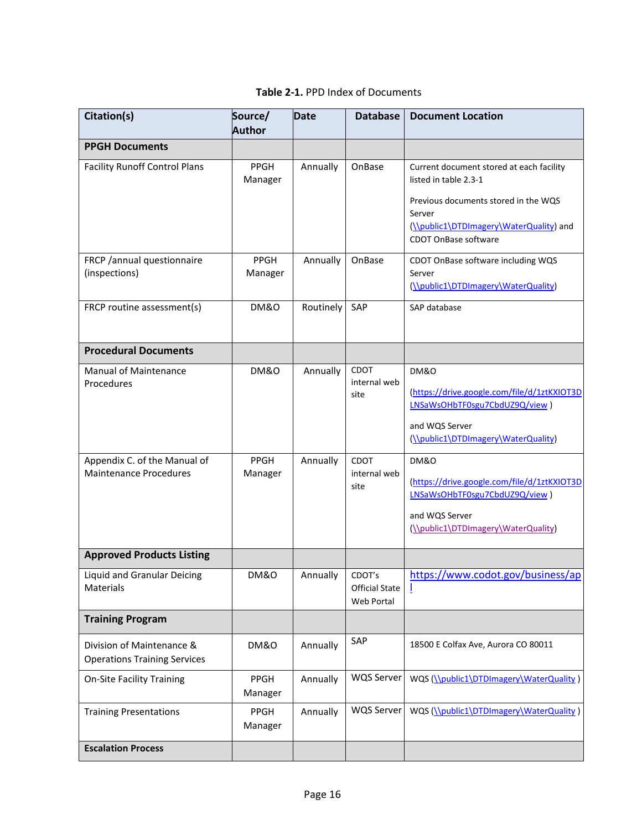| Citation(s)                                                      | Source/<br><b>Author</b> | <b>Date</b>       | <b>Database</b>                     | <b>Document Location</b>                                                                                                                                                               |
|------------------------------------------------------------------|--------------------------|-------------------|-------------------------------------|----------------------------------------------------------------------------------------------------------------------------------------------------------------------------------------|
| <b>PPGH Documents</b>                                            |                          |                   |                                     |                                                                                                                                                                                        |
| <b>Facility Runoff Control Plans</b>                             | PPGH<br>Manager          | Annually          | OnBase                              | Current document stored at each facility<br>listed in table 2.3-1<br>Previous documents stored in the WQS<br>Server<br>(\\public1\DTDImagery\WaterQuality) and<br>CDOT OnBase software |
| FRCP /annual questionnaire<br>(inspections)                      | PPGH<br>Manager          | Annually          | OnBase                              | CDOT OnBase software including WQS<br>Server<br>(\\public1\DTDImagery\WaterQuality)                                                                                                    |
| FRCP routine assessment(s)                                       | <b>DM&amp;O</b>          | Routinely         | SAP                                 | SAP database                                                                                                                                                                           |
| <b>Procedural Documents</b>                                      |                          |                   |                                     |                                                                                                                                                                                        |
| <b>Manual of Maintenance</b><br>Procedures                       | <b>DM&amp;O</b>          | Annually          | <b>CDOT</b><br>internal web<br>site | DM&O<br>(https://drive.google.com/file/d/1ztKXIOT3D<br>LNSaWsOHbTF0sgu7CbdUZ9Q/view)<br>and WQS Server<br>(\\public1\DTDImagery\WaterQuality)                                          |
| Appendix C. of the Manual of<br><b>Maintenance Procedures</b>    | PPGH<br>Manager          | Annually          | CDOT<br>internal web<br>site        | <b>DM&amp;O</b><br>(https://drive.google.com/file/d/1ztKXIOT3D<br>LNSaWsOHbTF0sgu7CbdUZ9Q/view)<br>and WQS Server<br>(\\public1\DTDImagery\WaterQuality)                               |
| <b>Approved Products Listing</b>                                 |                          |                   |                                     |                                                                                                                                                                                        |
| <b>Liquid and Granular Deicing</b><br>Materials                  | <b>DM&amp;O</b>          | Annually   CDOT's | <b>Official State</b><br>Web Portal | https://www.codot.gov/business/ap                                                                                                                                                      |
| <b>Training Program</b>                                          |                          |                   |                                     |                                                                                                                                                                                        |
| Division of Maintenance &<br><b>Operations Training Services</b> | <b>DM&amp;O</b>          | Annually          | SAP                                 | 18500 E Colfax Ave, Aurora CO 80011                                                                                                                                                    |
| <b>On-Site Facility Training</b>                                 | <b>PPGH</b><br>Manager   | Annually          | <b>WQS Server</b>                   | WQS (\\public1\DTDImagery\WaterQuality)                                                                                                                                                |
| <b>Training Presentations</b>                                    | <b>PPGH</b><br>Manager   | Annually          | WQS Server                          | WQS (\\public1\DTDImagery\WaterQuality)                                                                                                                                                |
| <b>Escalation Process</b>                                        |                          |                   |                                     |                                                                                                                                                                                        |

|  |  | Table 2-1. PPD Index of Documents |
|--|--|-----------------------------------|
|--|--|-----------------------------------|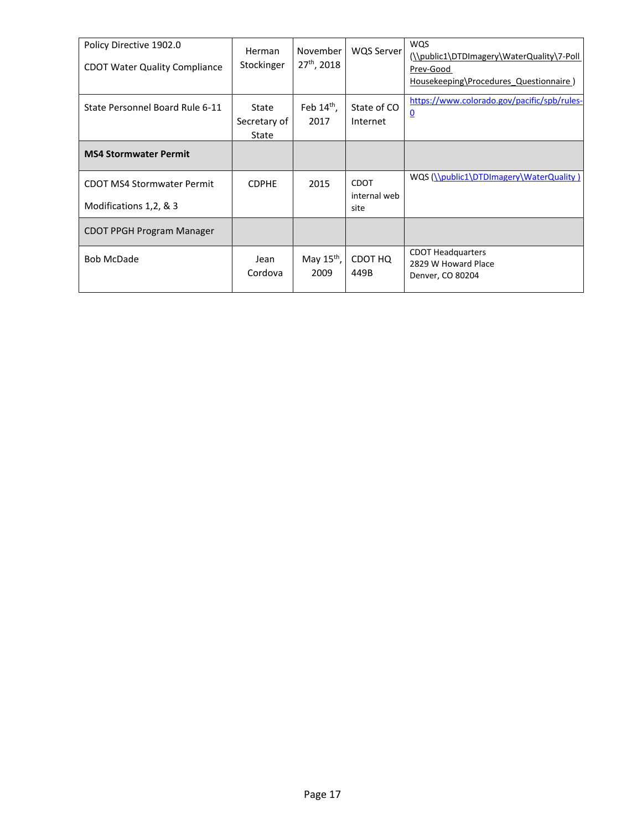| Policy Directive 1902.0              | <b>Herman</b> | November               | <b>WQS Server</b>    | <b>WQS</b><br>(\\public1\DTDImagery\WaterQuality\7-Poll |
|--------------------------------------|---------------|------------------------|----------------------|---------------------------------------------------------|
| <b>CDOT Water Quality Compliance</b> | Stockinger    | $27th$ , 2018          |                      | Prev-Good                                               |
|                                      |               |                        |                      | Housekeeping\Procedures Questionnaire)                  |
| State Personnel Board Rule 6-11      | State         | Feb $14th$ ,           | State of CO          | https://www.colorado.gov/pacific/spb/rules-             |
|                                      | Secretary of  | 2017                   | Internet             | $\overline{0}$                                          |
|                                      | State         |                        |                      |                                                         |
| <b>MS4 Stormwater Permit</b>         |               |                        |                      |                                                         |
| <b>CDOT MS4 Stormwater Permit</b>    | <b>CDPHE</b>  | 2015                   | <b>CDOT</b>          | WQS (\\public1\DTDImagery\WaterQuality)                 |
| Modifications 1,2, & 3               |               |                        | internal web<br>site |                                                         |
| <b>CDOT PPGH Program Manager</b>     |               |                        |                      |                                                         |
| <b>Bob McDade</b>                    | Jean          | May $15^{\text{th}}$ , | CDOT HQ              | <b>CDOT Headquarters</b><br>2829 W Howard Place         |
|                                      | Cordova       | 2009                   | 449B                 | Denver, CO 80204                                        |
|                                      |               |                        |                      |                                                         |